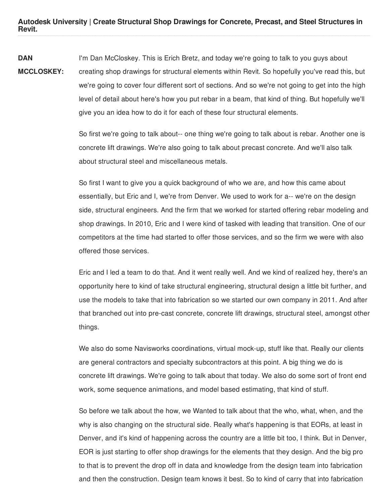**Autodesk University | Create Structural Shop Drawings for Concrete, Precast, and Steel Structures in Revit.**

**DAN MCCLOSKEY:** I'm Dan McCloskey. This is Erich Bretz, and today we're going to talk to you guys about creating shop drawings for structural elements within Revit. So hopefully you've read this, but we're going to cover four different sort of sections. And so we're not going to get into the high level of detail about here's how you put rebar in a beam, that kind of thing. But hopefully we'll give you an idea how to do it for each of these four structural elements.

> So first we're going to talk about-- one thing we're going to talk about is rebar. Another one is concrete lift drawings. We're also going to talk about precast concrete. And we'll also talk about structural steel and miscellaneous metals.

So first I want to give you a quick background of who we are, and how this came about essentially, but Eric and I, we're from Denver. We used to work for a-- we're on the design side, structural engineers. And the firm that we worked for started offering rebar modeling and shop drawings. In 2010, Eric and I were kind of tasked with leading that transition. One of our competitors at the time had started to offer those services, and so the firm we were with also offered those services.

Eric and I led a team to do that. And it went really well. And we kind of realized hey, there's an opportunity here to kind of take structural engineering, structural design a little bit further, and use the models to take that into fabrication so we started our own company in 2011. And after that branched out into pre-cast concrete, concrete lift drawings, structural steel, amongst other things.

We also do some Navisworks coordinations, virtual mock-up, stuff like that. Really our clients are general contractors and specialty subcontractors at this point. A big thing we do is concrete lift drawings. We're going to talk about that today. We also do some sort of front end work, some sequence animations, and model based estimating, that kind of stuff.

So before we talk about the how, we Wanted to talk about that the who, what, when, and the why is also changing on the structural side. Really what's happening is that EORs, at least in Denver, and it's kind of happening across the country are a little bit too, I think. But in Denver, EOR is just starting to offer shop drawings for the elements that they design. And the big pro to that is to prevent the drop off in data and knowledge from the design team into fabrication and then the construction. Design team knows it best. So to kind of carry that into fabrication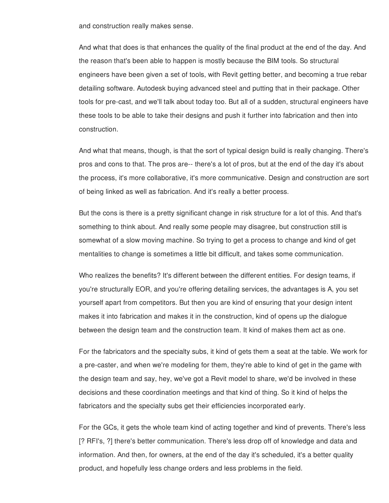and construction really makes sense.

And what that does is that enhances the quality of the final product at the end of the day. And the reason that's been able to happen is mostly because the BIM tools. So structural engineers have been given a set of tools, with Revit getting better, and becoming a true rebar detailing software. Autodesk buying advanced steel and putting that in their package. Other tools for pre-cast, and we'll talk about today too. But all of a sudden, structural engineers have these tools to be able to take their designs and push it further into fabrication and then into construction.

And what that means, though, is that the sort of typical design build is really changing. There's pros and cons to that. The pros are-- there's a lot of pros, but at the end of the day it's about the process, it's more collaborative, it's more communicative. Design and construction are sort of being linked as well as fabrication. And it's really a better process.

But the cons is there is a pretty significant change in risk structure for a lot of this. And that's something to think about. And really some people may disagree, but construction still is somewhat of a slow moving machine. So trying to get a process to change and kind of get mentalities to change is sometimes a little bit difficult, and takes some communication.

Who realizes the benefits? It's different between the different entities. For design teams, if you're structurally EOR, and you're offering detailing services, the advantages is A, you set yourself apart from competitors. But then you are kind of ensuring that your design intent makes it into fabrication and makes it in the construction, kind of opens up the dialogue between the design team and the construction team. It kind of makes them act as one.

For the fabricators and the specialty subs, it kind of gets them a seat at the table. We work for a pre-caster, and when we're modeling for them, they're able to kind of get in the game with the design team and say, hey, we've got a Revit model to share, we'd be involved in these decisions and these coordination meetings and that kind of thing. So it kind of helps the fabricators and the specialty subs get their efficiencies incorporated early.

For the GCs, it gets the whole team kind of acting together and kind of prevents. There's less [? RFI's, ?] there's better communication. There's less drop off of knowledge and data and information. And then, for owners, at the end of the day it's scheduled, it's a better quality product, and hopefully less change orders and less problems in the field.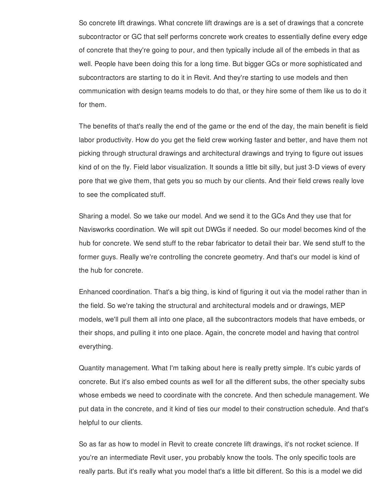So concrete lift drawings. What concrete lift drawings are is a set of drawings that a concrete subcontractor or GC that self performs concrete work creates to essentially define every edge of concrete that they're going to pour, and then typically include all of the embeds in that as well. People have been doing this for a long time. But bigger GCs or more sophisticated and subcontractors are starting to do it in Revit. And they're starting to use models and then communication with design teams models to do that, or they hire some of them like us to do it for them.

The benefits of that's really the end of the game or the end of the day, the main benefit is field labor productivity. How do you get the field crew working faster and better, and have them not picking through structural drawings and architectural drawings and trying to figure out issues kind of on the fly. Field labor visualization. It sounds a little bit silly, but just 3-D views of every pore that we give them, that gets you so much by our clients. And their field crews really love to see the complicated stuff.

Sharing a model. So we take our model. And we send it to the GCs And they use that for Navisworks coordination. We will spit out DWGs if needed. So our model becomes kind of the hub for concrete. We send stuff to the rebar fabricator to detail their bar. We send stuff to the former guys. Really we're controlling the concrete geometry. And that's our model is kind of the hub for concrete.

Enhanced coordination. That's a big thing, is kind of figuring it out via the model rather than in the field. So we're taking the structural and architectural models and or drawings, MEP models, we'll pull them all into one place, all the subcontractors models that have embeds, or their shops, and pulling it into one place. Again, the concrete model and having that control everything.

Quantity management. What I'm talking about here is really pretty simple. It's cubic yards of concrete. But it's also embed counts as well for all the different subs, the other specialty subs whose embeds we need to coordinate with the concrete. And then schedule management. We put data in the concrete, and it kind of ties our model to their construction schedule. And that's helpful to our clients.

So as far as how to model in Revit to create concrete lift drawings, it's not rocket science. If you're an intermediate Revit user, you probably know the tools. The only specific tools are really parts. But it's really what you model that's a little bit different. So this is a model we did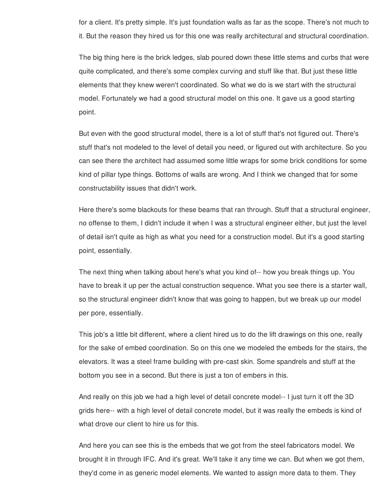for a client. It's pretty simple. It's just foundation walls as far as the scope. There's not much to it. But the reason they hired us for this one was really architectural and structural coordination.

The big thing here is the brick ledges, slab poured down these little stems and curbs that were quite complicated, and there's some complex curving and stuff like that. But just these little elements that they knew weren't coordinated. So what we do is we start with the structural model. Fortunately we had a good structural model on this one. It gave us a good starting point.

But even with the good structural model, there is a lot of stuff that's not figured out. There's stuff that's not modeled to the level of detail you need, or figured out with architecture. So you can see there the architect had assumed some little wraps for some brick conditions for some kind of pillar type things. Bottoms of walls are wrong. And I think we changed that for some constructability issues that didn't work.

Here there's some blackouts for these beams that ran through. Stuff that a structural engineer, no offense to them, I didn't include it when I was a structural engineer either, but just the level of detail isn't quite as high as what you need for a construction model. But it's a good starting point, essentially.

The next thing when talking about here's what you kind of-- how you break things up. You have to break it up per the actual construction sequence. What you see there is a starter wall, so the structural engineer didn't know that was going to happen, but we break up our model per pore, essentially.

This job's a little bit different, where a client hired us to do the lift drawings on this one, really for the sake of embed coordination. So on this one we modeled the embeds for the stairs, the elevators. It was a steel frame building with pre-cast skin. Some spandrels and stuff at the bottom you see in a second. But there is just a ton of embers in this.

And really on this job we had a high level of detail concrete model-- I just turn it off the 3D grids here-- with a high level of detail concrete model, but it was really the embeds is kind of what drove our client to hire us for this.

And here you can see this is the embeds that we got from the steel fabricators model. We brought it in through IFC. And it's great. We'll take it any time we can. But when we got them, they'd come in as generic model elements. We wanted to assign more data to them. They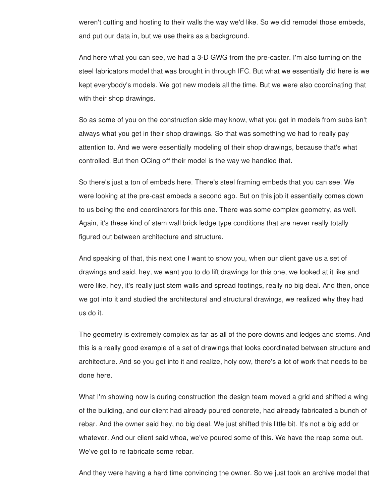weren't cutting and hosting to their walls the way we'd like. So we did remodel those embeds, and put our data in, but we use theirs as a background.

And here what you can see, we had a 3-D GWG from the pre-caster. I'm also turning on the steel fabricators model that was brought in through IFC. But what we essentially did here is we kept everybody's models. We got new models all the time. But we were also coordinating that with their shop drawings.

So as some of you on the construction side may know, what you get in models from subs isn't always what you get in their shop drawings. So that was something we had to really pay attention to. And we were essentially modeling of their shop drawings, because that's what controlled. But then QCing off their model is the way we handled that.

So there's just a ton of embeds here. There's steel framing embeds that you can see. We were looking at the pre-cast embeds a second ago. But on this job it essentially comes down to us being the end coordinators for this one. There was some complex geometry, as well. Again, it's these kind of stem wall brick ledge type conditions that are never really totally figured out between architecture and structure.

And speaking of that, this next one I want to show you, when our client gave us a set of drawings and said, hey, we want you to do lift drawings for this one, we looked at it like and were like, hey, it's really just stem walls and spread footings, really no big deal. And then, once we got into it and studied the architectural and structural drawings, we realized why they had us do it.

The geometry is extremely complex as far as all of the pore downs and ledges and stems. And this is a really good example of a set of drawings that looks coordinated between structure and architecture. And so you get into it and realize, holy cow, there's a lot of work that needs to be done here.

What I'm showing now is during construction the design team moved a grid and shifted a wing of the building, and our client had already poured concrete, had already fabricated a bunch of rebar. And the owner said hey, no big deal. We just shifted this little bit. It's not a big add or whatever. And our client said whoa, we've poured some of this. We have the reap some out. We've got to re fabricate some rebar.

And they were having a hard time convincing the owner. So we just took an archive model that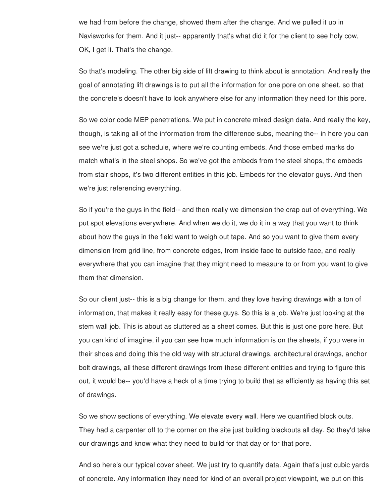we had from before the change, showed them after the change. And we pulled it up in Navisworks for them. And it just-- apparently that's what did it for the client to see holy cow, OK, I get it. That's the change.

So that's modeling. The other big side of lift drawing to think about is annotation. And really the goal of annotating lift drawings is to put all the information for one pore on one sheet, so that the concrete's doesn't have to look anywhere else for any information they need for this pore.

So we color code MEP penetrations. We put in concrete mixed design data. And really the key, though, is taking all of the information from the difference subs, meaning the-- in here you can see we're just got a schedule, where we're counting embeds. And those embed marks do match what's in the steel shops. So we've got the embeds from the steel shops, the embeds from stair shops, it's two different entities in this job. Embeds for the elevator guys. And then we're just referencing everything.

So if you're the guys in the field-- and then really we dimension the crap out of everything. We put spot elevations everywhere. And when we do it, we do it in a way that you want to think about how the guys in the field want to weigh out tape. And so you want to give them every dimension from grid line, from concrete edges, from inside face to outside face, and really everywhere that you can imagine that they might need to measure to or from you want to give them that dimension.

So our client just-- this is a big change for them, and they love having drawings with a ton of information, that makes it really easy for these guys. So this is a job. We're just looking at the stem wall job. This is about as cluttered as a sheet comes. But this is just one pore here. But you can kind of imagine, if you can see how much information is on the sheets, if you were in their shoes and doing this the old way with structural drawings, architectural drawings, anchor bolt drawings, all these different drawings from these different entities and trying to figure this out, it would be-- you'd have a heck of a time trying to build that as efficiently as having this set of drawings.

So we show sections of everything. We elevate every wall. Here we quantified block outs. They had a carpenter off to the corner on the site just building blackouts all day. So they'd take our drawings and know what they need to build for that day or for that pore.

And so here's our typical cover sheet. We just try to quantify data. Again that's just cubic yards of concrete. Any information they need for kind of an overall project viewpoint, we put on this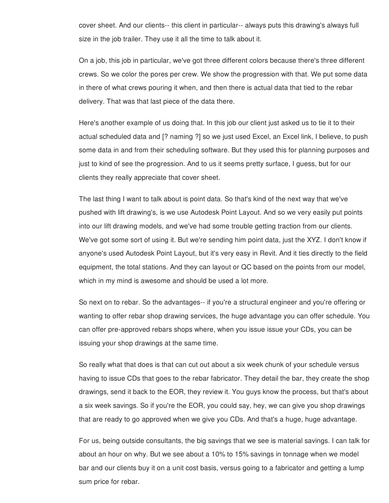cover sheet. And our clients-- this client in particular-- always puts this drawing's always full size in the job trailer. They use it all the time to talk about it.

On a job, this job in particular, we've got three different colors because there's three different crews. So we color the pores per crew. We show the progression with that. We put some data in there of what crews pouring it when, and then there is actual data that tied to the rebar delivery. That was that last piece of the data there.

Here's another example of us doing that. In this job our client just asked us to tie it to their actual scheduled data and [? naming ?] so we just used Excel, an Excel link, I believe, to push some data in and from their scheduling software. But they used this for planning purposes and just to kind of see the progression. And to us it seems pretty surface, I guess, but for our clients they really appreciate that cover sheet.

The last thing I want to talk about is point data. So that's kind of the next way that we've pushed with lift drawing's, is we use Autodesk Point Layout. And so we very easily put points into our lift drawing models, and we've had some trouble getting traction from our clients. We've got some sort of using it. But we're sending him point data, just the XYZ. I don't know if anyone's used Autodesk Point Layout, but it's very easy in Revit. And it ties directly to the field equipment, the total stations. And they can layout or QC based on the points from our model, which in my mind is awesome and should be used a lot more.

So next on to rebar. So the advantages-- if you're a structural engineer and you're offering or wanting to offer rebar shop drawing services, the huge advantage you can offer schedule. You can offer pre-approved rebars shops where, when you issue issue your CDs, you can be issuing your shop drawings at the same time.

So really what that does is that can cut out about a six week chunk of your schedule versus having to issue CDs that goes to the rebar fabricator. They detail the bar, they create the shop drawings, send it back to the EOR, they review it. You guys know the process, but that's about a six week savings. So if you're the EOR, you could say, hey, we can give you shop drawings that are ready to go approved when we give you CDs. And that's a huge, huge advantage.

For us, being outside consultants, the big savings that we see is material savings. I can talk for about an hour on why. But we see about a 10% to 15% savings in tonnage when we model bar and our clients buy it on a unit cost basis, versus going to a fabricator and getting a lump sum price for rebar.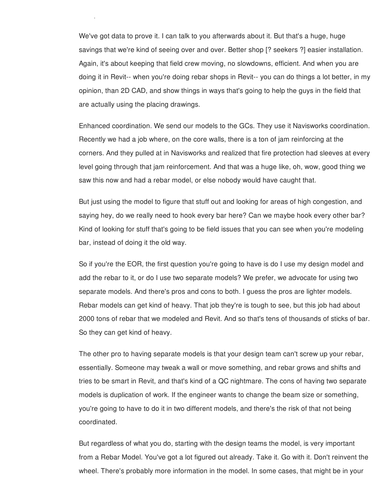We've got data to prove it. I can talk to you afterwards about it. But that's a huge, huge savings that we're kind of seeing over and over. Better shop [? seekers ?] easier installation. Again, it's about keeping that field crew moving, no slowdowns, efficient. And when you are doing it in Revit-- when you're doing rebar shops in Revit-- you can do things a lot better, in my opinion, than 2D CAD, and show things in ways that's going to help the guys in the field that are actually using the placing drawings.

sum price for rebar.

Enhanced coordination. We send our models to the GCs. They use it Navisworks coordination. Recently we had a job where, on the core walls, there is a ton of jam reinforcing at the corners. And they pulled at in Navisworks and realized that fire protection had sleeves at every level going through that jam reinforcement. And that was a huge like, oh, wow, good thing we saw this now and had a rebar model, or else nobody would have caught that.

But just using the model to figure that stuff out and looking for areas of high congestion, and saying hey, do we really need to hook every bar here? Can we maybe hook every other bar? Kind of looking for stuff that's going to be field issues that you can see when you're modeling bar, instead of doing it the old way.

So if you're the EOR, the first question you're going to have is do I use my design model and add the rebar to it, or do I use two separate models? We prefer, we advocate for using two separate models. And there's pros and cons to both. I guess the pros are lighter models. Rebar models can get kind of heavy. That job they're is tough to see, but this job had about 2000 tons of rebar that we modeled and Revit. And so that's tens of thousands of sticks of bar. So they can get kind of heavy.

The other pro to having separate models is that your design team can't screw up your rebar, essentially. Someone may tweak a wall or move something, and rebar grows and shifts and tries to be smart in Revit, and that's kind of a QC nightmare. The cons of having two separate models is duplication of work. If the engineer wants to change the beam size or something, you're going to have to do it in two different models, and there's the risk of that not being coordinated.

But regardless of what you do, starting with the design teams the model, is very important from a Rebar Model. You've got a lot figured out already. Take it. Go with it. Don't reinvent the wheel. There's probably more information in the model. In some cases, that might be in your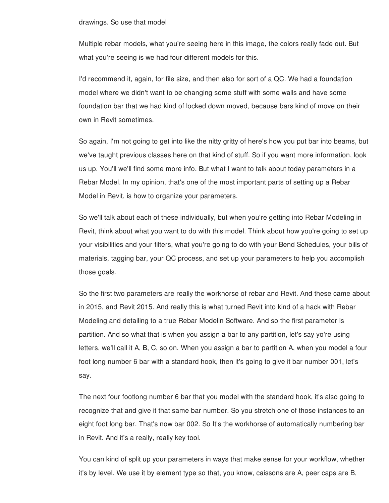## drawings. So use that model

Multiple rebar models, what you're seeing here in this image, the colors really fade out. But what you're seeing is we had four different models for this.

I'd recommend it, again, for file size, and then also for sort of a QC. We had a foundation model where we didn't want to be changing some stuff with some walls and have some foundation bar that we had kind of locked down moved, because bars kind of move on their own in Revit sometimes.

So again, I'm not going to get into like the nitty gritty of here's how you put bar into beams, but we've taught previous classes here on that kind of stuff. So if you want more information, look us up. You'll we'll find some more info. But what I want to talk about today parameters in a Rebar Model. In my opinion, that's one of the most important parts of setting up a Rebar Model in Revit, is how to organize your parameters.

So we'll talk about each of these individually, but when you're getting into Rebar Modeling in Revit, think about what you want to do with this model. Think about how you're going to set up your visibilities and your filters, what you're going to do with your Bend Schedules, your bills of materials, tagging bar, your QC process, and set up your parameters to help you accomplish those goals.

So the first two parameters are really the workhorse of rebar and Revit. And these came about in 2015, and Revit 2015. And really this is what turned Revit into kind of a hack with Rebar Modeling and detailing to a true Rebar Modelin Software. And so the first parameter is partition. And so what that is when you assign a bar to any partition, let's say yo're using letters, we'll call it A, B, C, so on. When you assign a bar to partition A, when you model a four foot long number 6 bar with a standard hook, then it's going to give it bar number 001, let's say.

The next four footlong number 6 bar that you model with the standard hook, it's also going to recognize that and give it that same bar number. So you stretch one of those instances to an eight foot long bar. That's now bar 002. So It's the workhorse of automatically numbering bar in Revit. And it's a really, really key tool.

You can kind of split up your parameters in ways that make sense for your workflow, whether it's by level. We use it by element type so that, you know, caissons are A, peer caps are B,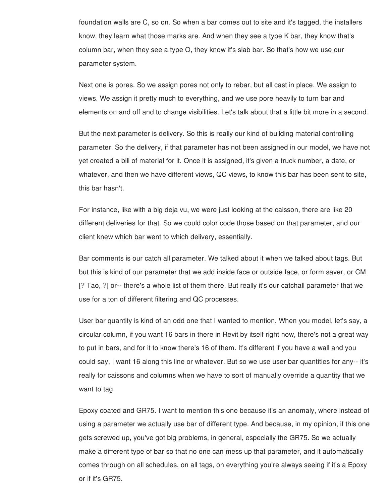foundation walls are C, so on. So when a bar comes out to site and it's tagged, the installers know, they learn what those marks are. And when they see a type K bar, they know that's column bar, when they see a type O, they know it's slab bar. So that's how we use our parameter system.

Next one is pores. So we assign pores not only to rebar, but all cast in place. We assign to views. We assign it pretty much to everything, and we use pore heavily to turn bar and elements on and off and to change visibilities. Let's talk about that a little bit more in a second.

But the next parameter is delivery. So this is really our kind of building material controlling parameter. So the delivery, if that parameter has not been assigned in our model, we have not yet created a bill of material for it. Once it is assigned, it's given a truck number, a date, or whatever, and then we have different views, QC views, to know this bar has been sent to site, this bar hasn't.

For instance, like with a big deja vu, we were just looking at the caisson, there are like 20 different deliveries for that. So we could color code those based on that parameter, and our client knew which bar went to which delivery, essentially.

Bar comments is our catch all parameter. We talked about it when we talked about tags. But but this is kind of our parameter that we add inside face or outside face, or form saver, or CM [? Tao, ?] or-- there's a whole list of them there. But really it's our catchall parameter that we use for a ton of different filtering and QC processes.

User bar quantity is kind of an odd one that I wanted to mention. When you model, let's say, a circular column, if you want 16 bars in there in Revit by itself right now, there's not a great way to put in bars, and for it to know there's 16 of them. It's different if you have a wall and you could say, I want 16 along this line or whatever. But so we use user bar quantities for any-- it's really for caissons and columns when we have to sort of manually override a quantity that we want to tag.

Epoxy coated and GR75. I want to mention this one because it's an anomaly, where instead of using a parameter we actually use bar of different type. And because, in my opinion, if this one gets screwed up, you've got big problems, in general, especially the GR75. So we actually make a different type of bar so that no one can mess up that parameter, and it automatically comes through on all schedules, on all tags, on everything you're always seeing if it's a Epoxy or if it's GR75.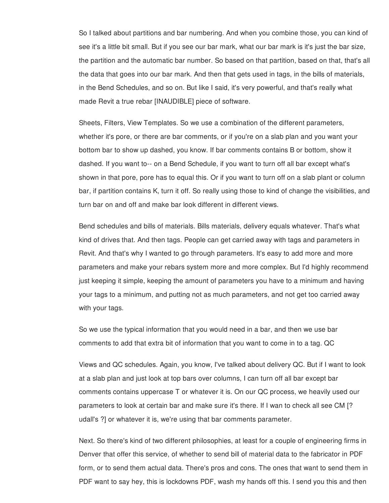So I talked about partitions and bar numbering. And when you combine those, you can kind of see it's a little bit small. But if you see our bar mark, what our bar mark is it's just the bar size, the partition and the automatic bar number. So based on that partition, based on that, that's all the data that goes into our bar mark. And then that gets used in tags, in the bills of materials, in the Bend Schedules, and so on. But like I said, it's very powerful, and that's really what made Revit a true rebar [INAUDIBLE] piece of software.

Sheets, Filters, View Templates. So we use a combination of the different parameters, whether it's pore, or there are bar comments, or if you're on a slab plan and you want your bottom bar to show up dashed, you know. If bar comments contains B or bottom, show it dashed. If you want to-- on a Bend Schedule, if you want to turn off all bar except what's shown in that pore, pore has to equal this. Or if you want to turn off on a slab plant or column bar, if partition contains K, turn it off. So really using those to kind of change the visibilities, and turn bar on and off and make bar look different in different views.

Bend schedules and bills of materials. Bills materials, delivery equals whatever. That's what kind of drives that. And then tags. People can get carried away with tags and parameters in Revit. And that's why I wanted to go through parameters. It's easy to add more and more parameters and make your rebars system more and more complex. But I'd highly recommend just keeping it simple, keeping the amount of parameters you have to a minimum and having your tags to a minimum, and putting not as much parameters, and not get too carried away with your tags.

So we use the typical information that you would need in a bar, and then we use bar comments to add that extra bit of information that you want to come in to a tag. QC

Views and QC schedules. Again, you know, I've talked about delivery QC. But if I want to look at a slab plan and just look at top bars over columns, I can turn off all bar except bar comments contains uppercase T or whatever it is. On our QC process, we heavily used our parameters to look at certain bar and make sure it's there. If I wan to check all see CM [? udall's ?] or whatever it is, we're using that bar comments parameter.

Next. So there's kind of two different philosophies, at least for a couple of engineering firms in Denver that offer this service, of whether to send bill of material data to the fabricator in PDF form, or to send them actual data. There's pros and cons. The ones that want to send them in PDF want to say hey, this is lockdowns PDF, wash my hands off this. I send you this and then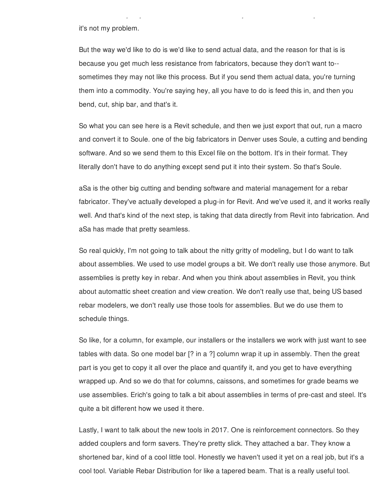it's not my problem.

But the way we'd like to do is we'd like to send actual data, and the reason for that is is because you get much less resistance from fabricators, because they don't want to- sometimes they may not like this process. But if you send them actual data, you're turning them into a commodity. You're saying hey, all you have to do is feed this in, and then you bend, cut, ship bar, and that's it.

PDF want to say hey, this is lockdowns PDF, wash my hands off this. I send you this and then

So what you can see here is a Revit schedule, and then we just export that out, run a macro and convert it to Soule. one of the big fabricators in Denver uses Soule, a cutting and bending software. And so we send them to this Excel file on the bottom. It's in their format. They literally don't have to do anything except send put it into their system. So that's Soule.

aSa is the other big cutting and bending software and material management for a rebar fabricator. They've actually developed a plug-in for Revit. And we've used it, and it works really well. And that's kind of the next step, is taking that data directly from Revit into fabrication. And aSa has made that pretty seamless.

So real quickly, I'm not going to talk about the nitty gritty of modeling, but I do want to talk about assemblies. We used to use model groups a bit. We don't really use those anymore. But assemblies is pretty key in rebar. And when you think about assemblies in Revit, you think about automattic sheet creation and view creation. We don't really use that, being US based rebar modelers, we don't really use those tools for assemblies. But we do use them to schedule things.

So like, for a column, for example, our installers or the installers we work with just want to see tables with data. So one model bar [? in a ?] column wrap it up in assembly. Then the great part is you get to copy it all over the place and quantify it, and you get to have everything wrapped up. And so we do that for columns, caissons, and sometimes for grade beams we use assemblies. Erich's going to talk a bit about assemblies in terms of pre-cast and steel. It's quite a bit different how we used it there.

Lastly, I want to talk about the new tools in 2017. One is reinforcement connectors. So they added couplers and form savers. They're pretty slick. They attached a bar. They know a shortened bar, kind of a cool little tool. Honestly we haven't used it yet on a real job, but it's a cool tool. Variable Rebar Distribution for like a tapered beam. That is a really useful tool.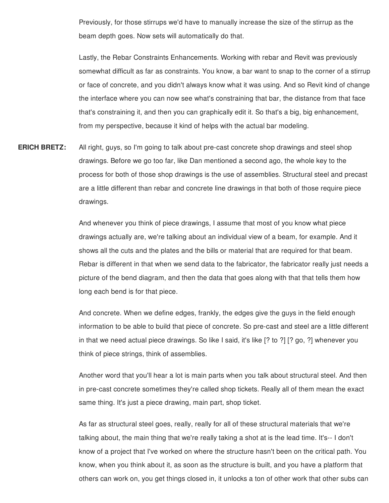Previously, for those stirrups we'd have to manually increase the size of the stirrup as the beam depth goes. Now sets will automatically do that.

Lastly, the Rebar Constraints Enhancements. Working with rebar and Revit was previously somewhat difficult as far as constraints. You know, a bar want to snap to the corner of a stirrup or face of concrete, and you didn't always know what it was using. And so Revit kind of change the interface where you can now see what's constraining that bar, the distance from that face that's constraining it, and then you can graphically edit it. So that's a big, big enhancement, from my perspective, because it kind of helps with the actual bar modeling.

**ERICH BRETZ:** All right, guys, so I'm going to talk about pre-cast concrete shop drawings and steel shop drawings. Before we go too far, like Dan mentioned a second ago, the whole key to the process for both of those shop drawings is the use of assemblies. Structural steel and precast are a little different than rebar and concrete line drawings in that both of those require piece drawings.

> And whenever you think of piece drawings, I assume that most of you know what piece drawings actually are, we're talking about an individual view of a beam, for example. And it shows all the cuts and the plates and the bills or material that are required for that beam. Rebar is different in that when we send data to the fabricator, the fabricator really just needs a picture of the bend diagram, and then the data that goes along with that that tells them how long each bend is for that piece.

> And concrete. When we define edges, frankly, the edges give the guys in the field enough information to be able to build that piece of concrete. So pre-cast and steel are a little different in that we need actual piece drawings. So like I said, it's like [? to ?] [? go, ?] whenever you think of piece strings, think of assemblies.

> Another word that you'll hear a lot is main parts when you talk about structural steel. And then in pre-cast concrete sometimes they're called shop tickets. Really all of them mean the exact same thing. It's just a piece drawing, main part, shop ticket.

> As far as structural steel goes, really, really for all of these structural materials that we're talking about, the main thing that we're really taking a shot at is the lead time. It's-- I don't know of a project that I've worked on where the structure hasn't been on the critical path. You know, when you think about it, as soon as the structure is built, and you have a platform that others can work on, you get things closed in, it unlocks a ton of other work that other subs can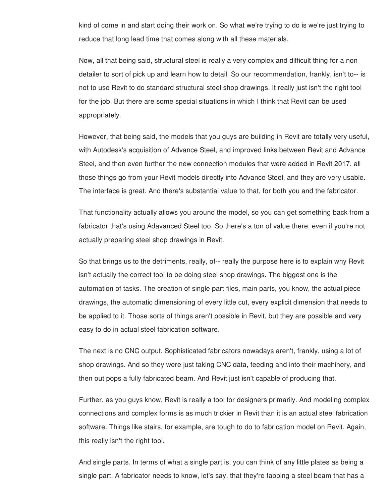kind of come in and start doing their work on. So what we're trying to do is we're just trying to reduce that long lead time that comes along with all these materials.

Now, all that being said, structural steel is really a very complex and difficult thing for a non detailer to sort of pick up and learn how to detail. So our recommendation, frankly, isn't to-- is not to use Revit to do standard structural steel shop drawings. It really just isn't the right tool for the job. But there are some special situations in which I think that Revit can be used appropriately.

However, that being said, the models that you guys are building in Revit are totally very useful, with Autodesk's acquisition of Advance Steel, and improved links between Revit and Advance Steel, and then even further the new connection modules that were added in Revit 2017, all those things go from your Revit models directly into Advance Steel, and they are very usable. The interface is great. And there's substantial value to that, for both you and the fabricator.

That functionality actually allows you around the model, so you can get something back from a fabricator that's using Adavanced Steel too. So there's a ton of value there, even if you're not actually preparing steel shop drawings in Revit.

So that brings us to the detriments, really, of-- really the purpose here is to explain why Revit isn't actually the correct tool to be doing steel shop drawings. The biggest one is the automation of tasks. The creation of single part files, main parts, you know, the actual piece drawings, the automatic dimensioning of every little cut, every explicit dimension that needs to be applied to it. Those sorts of things aren't possible in Revit, but they are possible and very easy to do in actual steel fabrication software.

The next is no CNC output. Sophisticated fabricators nowadays aren't, frankly, using a lot of shop drawings. And so they were just taking CNC data, feeding and into their machinery, and then out pops a fully fabricated beam. And Revit just isn't capable of producing that.

Further, as you guys know, Revit is really a tool for designers primarily. And modeling complex connections and complex forms is as much trickier in Revit than it is an actual steel fabrication software. Things like stairs, for example, are tough to do to fabrication model on Revit. Again, this really isn't the right tool.

And single parts. In terms of what a single part is, you can think of any little plates as being a single part. A fabricator needs to know, let's say, that they're fabbing a steel beam that has a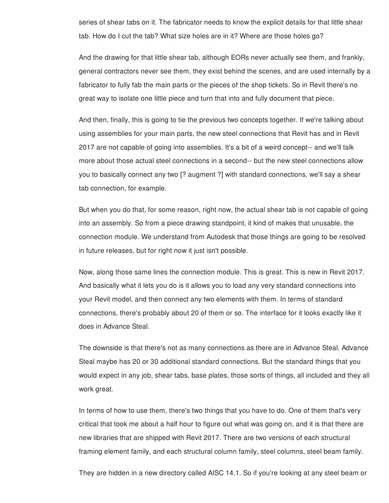series of shear tabs on it. The fabricator needs to know the explicit details for that little shear tab. How do I cut the tab? What size holes are in it? Where are those holes go?

And the drawing for that little shear tab, although EORs never actually see them, and frankly, general contractors never see them, they exist behind the scenes, and are used internally by a fabricator to fully fab the main parts or the pieces of the shop tickets. So in Revit there's no great way to isolate one little piece and turn that into and fully document that piece.

And then, finally, this is going to tie the previous two concepts together. If we're talking about using assemblies for your main parts, the new steel connections that Revit has and in Revit 2017 are not capable of going into assemblies. It's a bit of a weird concept-- and we'll talk more about those actual steel connections in a second-- but the new steel connections allow you to basically connect any two [? augment ?] with standard connections, we'll say a shear tab connection, for example.

But when you do that, for some reason, right now, the actual shear tab is not capable of going into an assembly. So from a piece drawing standpoint, it kind of makes that unusable, the connection module. We understand from Autodesk that those things are going to be resolved in future releases, but for right now it just isn't possible.

Now, along those same lines the connection module. This is great. This is new in Revit 2017. And basically what it lets you do is it allows you to load any very standard connections into your Revit model, and then connect any two elements with them. In terms of standard connections, there's probably about 20 of them or so. The interface for it looks exactly like it does in Advance Steal.

The downside is that there's not as many connections as there are in Advance Steal. Advance Steal maybe has 20 or 30 additional standard connections. But the standard things that you would expect in any job, shear tabs, base plates, those sorts of things, all included and they all work great.

In terms of how to use them, there's two things that you have to do. One of them that's very critical that took me about a half hour to figure out what was going on, and it is that there are new libraries that are shipped with Revit 2017. There are two versions of each structural framing element family, and each structural column family, steel columns, steel beam family.

They are hidden in a new directory called AISC 14.1. So if you're looking at any steel beam or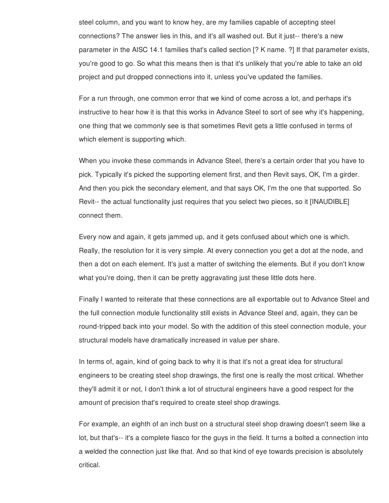steel column, and you want to know hey, are my families capable of accepting steel connections? The answer lies in this, and it's all washed out. But it just-- there's a new parameter in the AISC 14.1 families that's called section [? K name. ?] If that parameter exists, you're good to go. So what this means then is that it's unlikely that you're able to take an old project and put dropped connections into it, unless you've updated the families.

For a run through, one common error that we kind of come across a lot, and perhaps it's instructive to hear how it is that this works in Advance Steel to sort of see why it's happening, one thing that we commonly see is that sometimes Revit gets a little confused in terms of which element is supporting which.

When you invoke these commands in Advance Steel, there's a certain order that you have to pick. Typically it's picked the supporting element first, and then Revit says, OK, I'm a girder. And then you pick the secondary element, and that says OK, I'm the one that supported. So Revit-- the actual functionality just requires that you select two pieces, so it [INAUDIBLE] connect them.

Every now and again, it gets jammed up, and it gets confused about which one is which. Really, the resolution for it is very simple. At every connection you get a dot at the node, and then a dot on each element. It's just a matter of switching the elements. But if you don't know what you're doing, then it can be pretty aggravating just these little dots here.

Finally I wanted to reiterate that these connections are all exportable out to Advance Steel and the full connection module functionality still exists in Advance Steel and, again, they can be round-tripped back into your model. So with the addition of this steel connection module, your structural models have dramatically increased in value per share.

In terms of, again, kind of going back to why it is that it's not a great idea for structural engineers to be creating steel shop drawings, the first one is really the most critical. Whether they'll admit it or not, I don't think a lot of structural engineers have a good respect for the amount of precision that's required to create steel shop drawings.

For example, an eighth of an inch bust on a structural steel shop drawing doesn't seem like a lot, but that's-- it's a complete fiasco for the guys in the field. It turns a bolted a connection into a welded the connection just like that. And so that kind of eye towards precision is absolutely critical.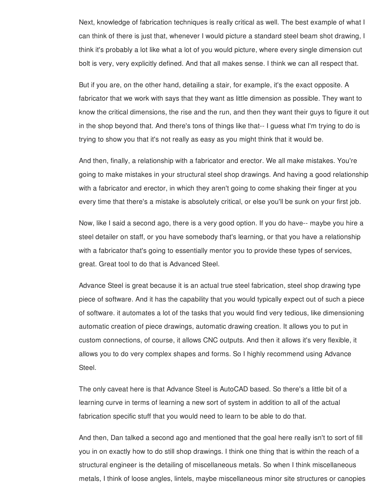Next, knowledge of fabrication techniques is really critical as well. The best example of what I can think of there is just that, whenever I would picture a standard steel beam shot drawing, I think it's probably a lot like what a lot of you would picture, where every single dimension cut bolt is very, very explicitly defined. And that all makes sense. I think we can all respect that.

But if you are, on the other hand, detailing a stair, for example, it's the exact opposite. A fabricator that we work with says that they want as little dimension as possible. They want to know the critical dimensions, the rise and the run, and then they want their guys to figure it out in the shop beyond that. And there's tons of things like that-- I guess what I'm trying to do is trying to show you that it's not really as easy as you might think that it would be.

And then, finally, a relationship with a fabricator and erector. We all make mistakes. You're going to make mistakes in your structural steel shop drawings. And having a good relationship with a fabricator and erector, in which they aren't going to come shaking their finger at you every time that there's a mistake is absolutely critical, or else you'll be sunk on your first job.

Now, like I said a second ago, there is a very good option. If you do have-- maybe you hire a steel detailer on staff, or you have somebody that's learning, or that you have a relationship with a fabricator that's going to essentially mentor you to provide these types of services, great. Great tool to do that is Advanced Steel.

Advance Steel is great because it is an actual true steel fabrication, steel shop drawing type piece of software. And it has the capability that you would typically expect out of such a piece of software. it automates a lot of the tasks that you would find very tedious, like dimensioning automatic creation of piece drawings, automatic drawing creation. It allows you to put in custom connections, of course, it allows CNC outputs. And then it allows it's very flexible, it allows you to do very complex shapes and forms. So I highly recommend using Advance Steel.

The only caveat here is that Advance Steel is AutoCAD based. So there's a little bit of a learning curve in terms of learning a new sort of system in addition to all of the actual fabrication specific stuff that you would need to learn to be able to do that.

And then, Dan talked a second ago and mentioned that the goal here really isn't to sort of fill you in on exactly how to do still shop drawings. I think one thing that is within the reach of a structural engineer is the detailing of miscellaneous metals. So when I think miscellaneous metals, I think of loose angles, lintels, maybe miscellaneous minor site structures or canopies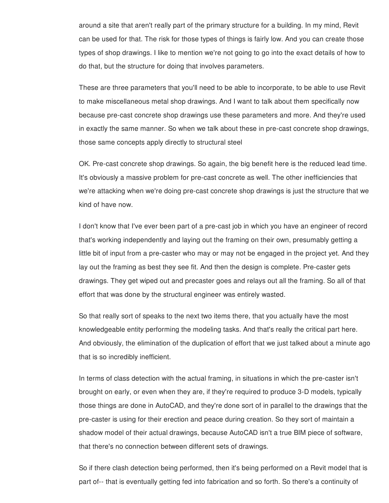around a site that aren't really part of the primary structure for a building. In my mind, Revit can be used for that. The risk for those types of things is fairly low. And you can create those types of shop drawings. I like to mention we're not going to go into the exact details of how to do that, but the structure for doing that involves parameters.

These are three parameters that you'll need to be able to incorporate, to be able to use Revit to make miscellaneous metal shop drawings. And I want to talk about them specifically now because pre-cast concrete shop drawings use these parameters and more. And they're used in exactly the same manner. So when we talk about these in pre-cast concrete shop drawings, those same concepts apply directly to structural steel

OK. Pre-cast concrete shop drawings. So again, the big benefit here is the reduced lead time. It's obviously a massive problem for pre-cast concrete as well. The other inefficiencies that we're attacking when we're doing pre-cast concrete shop drawings is just the structure that we kind of have now.

I don't know that I've ever been part of a pre-cast job in which you have an engineer of record that's working independently and laying out the framing on their own, presumably getting a little bit of input from a pre-caster who may or may not be engaged in the project yet. And they lay out the framing as best they see fit. And then the design is complete. Pre-caster gets drawings. They get wiped out and precaster goes and relays out all the framing. So all of that effort that was done by the structural engineer was entirely wasted.

So that really sort of speaks to the next two items there, that you actually have the most knowledgeable entity performing the modeling tasks. And that's really the critical part here. And obviously, the elimination of the duplication of effort that we just talked about a minute ago that is so incredibly inefficient.

In terms of class detection with the actual framing, in situations in which the pre-caster isn't brought on early, or even when they are, if they're required to produce 3-D models, typically those things are done in AutoCAD, and they're done sort of in parallel to the drawings that the pre-caster is using for their erection and peace during creation. So they sort of maintain a shadow model of their actual drawings, because AutoCAD isn't a true BIM piece of software, that there's no connection between different sets of drawings.

So if there clash detection being performed, then it's being performed on a Revit model that is part of-- that is eventually getting fed into fabrication and so forth. So there's a continuity of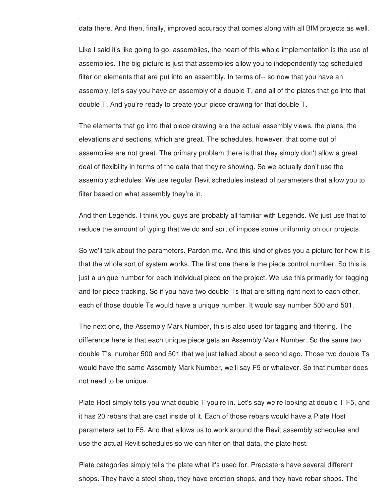data there. And then, finally, improved accuracy that comes along with all BIM projects as well.

part of-- that is eventually getting fed into fabrication and so forth. So there's a continuity of

Like I said it's like going to go, assemblies, the heart of this whole implementation is the use of assemblies. The big picture is just that assemblies allow you to independently tag scheduled filter on elements that are put into an assembly. In terms of-- so now that you have an assembly, let's say you have an assembly of a double T, and all of the plates that go into that double T. And you're ready to create your piece drawing for that double T.

The elements that go into that piece drawing are the actual assembly views, the plans, the elevations and sections, which are great. The schedules, however, that come out of assemblies are not great. The primary problem there is that they simply don't allow a great deal of flexibility in terms of the data that they're showing. So we actually don't use the assembly schedules. We use regular Revit schedules instead of parameters that allow you to filter based on what assembly they're in.

And then Legends. I think you guys are probably all familiar with Legends. We just use that to reduce the amount of typing that we do and sort of impose some uniformity on our projects.

So we'll talk about the parameters. Pardon me. And this kind of gives you a picture for how it is that the whole sort of system works. The first one there is the piece control number. So this is just a unique number for each individual piece on the project. We use this primarily for tagging and for piece tracking. So if you have two double Ts that are sitting right next to each other, each of those double Ts would have a unique number. It would say number 500 and 501.

The next one, the Assembly Mark Number, this is also used for tagging and filtering. The difference here is that each unique piece gets an Assembly Mark Number. So the same two double T's, number 500 and 501 that we just talked about a second ago. Those two double Ts would have the same Assembly Mark Number, we'll say F5 or whatever. So that number does not need to be unique.

Plate Host simply tells you what double T you're in. Let's say we're looking at double T F5, and it has 20 rebars that are cast inside of it. Each of those rebars would have a Plate Host parameters set to F5. And that allows us to work around the Revit assembly schedules and use the actual Revit schedules so we can filter on that data, the plate host.

Plate categories simply tells the plate what it's used for. Precasters have several different shops. They have a steel shop, they have erection shops, and they have rebar shops. The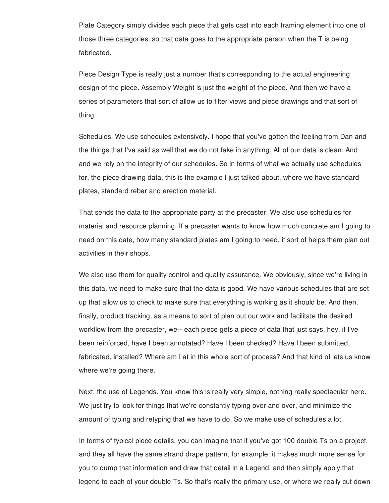Plate Category simply divides each piece that gets cast into each framing element into one of those three categories, so that data goes to the appropriate person when the T is being fabricated.

Piece Design Type is really just a number that's corresponding to the actual engineering design of the piece. Assembly Weight is just the weight of the piece. And then we have a series of parameters that sort of allow us to filter views and piece drawings and that sort of thing.

Schedules. We use schedules extensively. I hope that you've gotten the feeling from Dan and the things that I've said as well that we do not fake in anything. All of our data is clean. And and we rely on the integrity of our schedules. So in terms of what we actually use schedules for, the piece drawing data, this is the example I just talked about, where we have standard plates, standard rebar and erection material.

That sends the data to the appropriate party at the precaster. We also use schedules for material and resource planning. If a precaster wants to know how much concrete am I going to need on this date, how many standard plates am I going to need, it sort of helps them plan out activities in their shops.

We also use them for quality control and quality assurance. We obviously, since we're living in this data, we need to make sure that the data is good. We have various schedules that are set up that allow us to check to make sure that everything is working as it should be. And then, finally, product tracking, as a means to sort of plan out our work and facilitate the desired workflow from the precaster, we-- each piece gets a piece of data that just says, hey, if I've been reinforced, have I been annotated? Have I been checked? Have I been submitted, fabricated, installed? Where am I at in this whole sort of process? And that kind of lets us know where we're going there.

Next, the use of Legends. You know this is really very simple, nothing really spectacular here. We just try to look for things that we're constantly typing over and over, and minimize the amount of typing and retyping that we have to do. So we make use of schedules a lot.

In terms of typical piece details, you can imagine that if you've got 100 double Ts on a project, and they all have the same strand drape pattern, for example, it makes much more sense for you to dump that information and draw that detail in a Legend, and then simply apply that legend to each of your double Ts. So that's really the primary use, or where we really cut down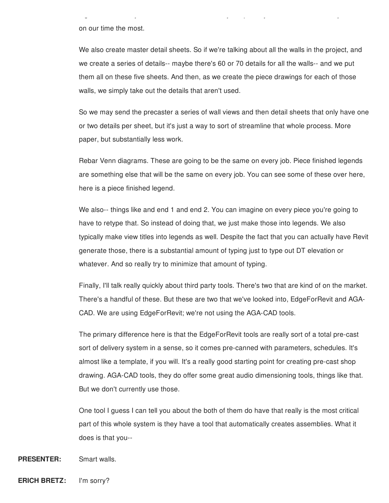on our time the most.

We also create master detail sheets. So if we're talking about all the walls in the project, and we create a series of details-- maybe there's 60 or 70 details for all the walls-- and we put them all on these five sheets. And then, as we create the piece drawings for each of those walls, we simply take out the details that aren't used.

legend to each of your double Ts. So that's really the primary use, or where we really cut down

So we may send the precaster a series of wall views and then detail sheets that only have one or two details per sheet, but it's just a way to sort of streamline that whole process. More paper, but substantially less work.

Rebar Venn diagrams. These are going to be the same on every job. Piece finished legends are something else that will be the same on every job. You can see some of these over here, here is a piece finished legend.

We also-- things like and end 1 and end 2. You can imagine on every piece you're going to have to retype that. So instead of doing that, we just make those into legends. We also typically make view titles into legends as well. Despite the fact that you can actually have Revit generate those, there is a substantial amount of typing just to type out DT elevation or whatever. And so really try to minimize that amount of typing.

Finally, I'll talk really quickly about third party tools. There's two that are kind of on the market. There's a handful of these. But these are two that we've looked into, EdgeForRevit and AGA-CAD. We are using EdgeForRevit; we're not using the AGA-CAD tools.

The primary difference here is that the EdgeForRevit tools are really sort of a total pre-cast sort of delivery system in a sense, so it comes pre-canned with parameters, schedules. It's almost like a template, if you will. It's a really good starting point for creating pre-cast shop drawing. AGA-CAD tools, they do offer some great audio dimensioning tools, things like that. But we don't currently use those.

One tool I guess I can tell you about the both of them do have that really is the most critical part of this whole system is they have a tool that automatically creates assemblies. What it does is that you--

**PRESENTER:** Smart walls.

**ERICH BRETZ:** I'm sorry?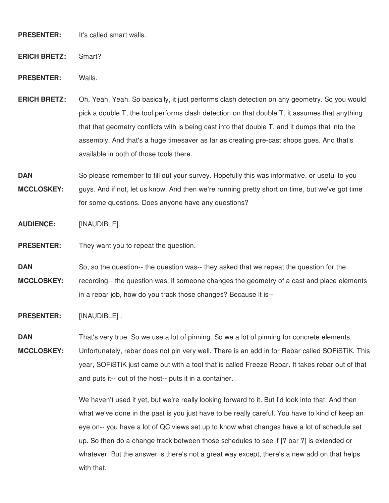**PRESENTER:** It's called smart walls.

**ERICH BRETZ:** Smart?

**PRESENTER:** Walls.

- **ERICH BRETZ:** Oh, Yeah. Yeah. So basically, it just performs clash detection on any geometry. So you would pick a double T, the tool performs clash detection on that double T, it assumes that anything that that geometry conflicts with is being cast into that double T, and it dumps that into the assembly. And that's a huge timesaver as far as creating pre-cast shops goes. And that's available in both of those tools there.
- **DAN MCCLOSKEY:** So please remember to fill out your survey. Hopefully this was informative, or useful to you guys. And if not, let us know. And then we're running pretty short on time, but we've got time for some questions. Does anyone have any questions?

**AUDIENCE:** [INAUDIBLE].

**PRESENTER:** They want you to repeat the question.

**DAN MCCLOSKEY:** So, so the question-- the question was-- they asked that we repeat the question for the recording-- the question was, if someone changes the geometry of a cast and place elements in a rebar job, how do you track those changes? Because it is--

**PRESENTER:** [INAUDIBLE] .

**DAN** That's very true. So we use a lot of pinning. So we a lot of pinning for concrete elements.

**MCCLOSKEY:** Unfortunately, rebar does not pin very well. There is an add in for Rebar called SOFiSTiK. This year, SOFiSTiK just came out with a tool that is called Freeze Rebar. It takes rebar out of that and puts it-- out of the host-- puts it in a container.

> We haven't used it yet, but we're really looking forward to it. But I'd look into that. And then what we've done in the past is you just have to be really careful. You have to kind of keep an eye on-- you have a lot of QC views set up to know what changes have a lot of schedule set up. So then do a change track between those schedules to see if [? bar ?] is extended or whatever. But the answer is there's not a great way except, there's a new add on that helps with that.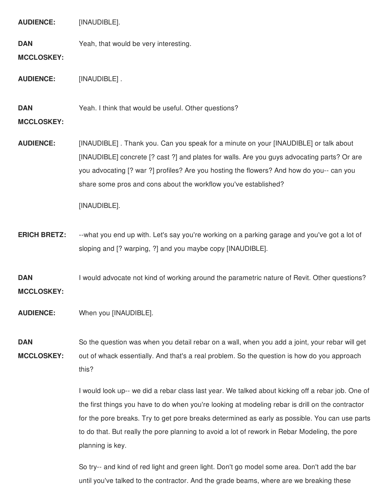**AUDIENCE:** [INAUDIBLE]. **DAN MCCLOSKEY:** Yeah, that would be very interesting. **AUDIENCE:** [INAUDIBLE] . **DAN MCCLOSKEY:** Yeah. I think that would be useful. Other questions? **AUDIENCE:** [INAUDIBLE] . Thank you. Can you speak for a minute on your [INAUDIBLE] or talk about [INAUDIBLE] concrete [? cast ?] and plates for walls. Are you guys advocating parts? Or are you advocating [? war ?] profiles? Are you hosting the flowers? And how do you-- can you share some pros and cons about the workflow you've established? [INAUDIBLE]. **ERICH BRETZ:** --what you end up with. Let's say you're working on a parking garage and you've got a lot of sloping and [? warping, ?] and you maybe copy [INAUDIBLE]. **DAN MCCLOSKEY:** I would advocate not kind of working around the parametric nature of Revit. Other questions? **AUDIENCE:** When you [INAUDIBLE]. **DAN MCCLOSKEY:** So the question was when you detail rebar on a wall, when you add a joint, your rebar will get out of whack essentially. And that's a real problem. So the question is how do you approach this? I would look up-- we did a rebar class last year. We talked about kicking off a rebar job. One of the first things you have to do when you're looking at modeling rebar is drill on the contractor for the pore breaks. Try to get pore breaks determined as early as possible. You can use parts to do that. But really the pore planning to avoid a lot of rework in Rebar Modeling, the pore

planning is key.

So try-- and kind of red light and green light. Don't go model some area. Don't add the bar until you've talked to the contractor. And the grade beams, where are we breaking these